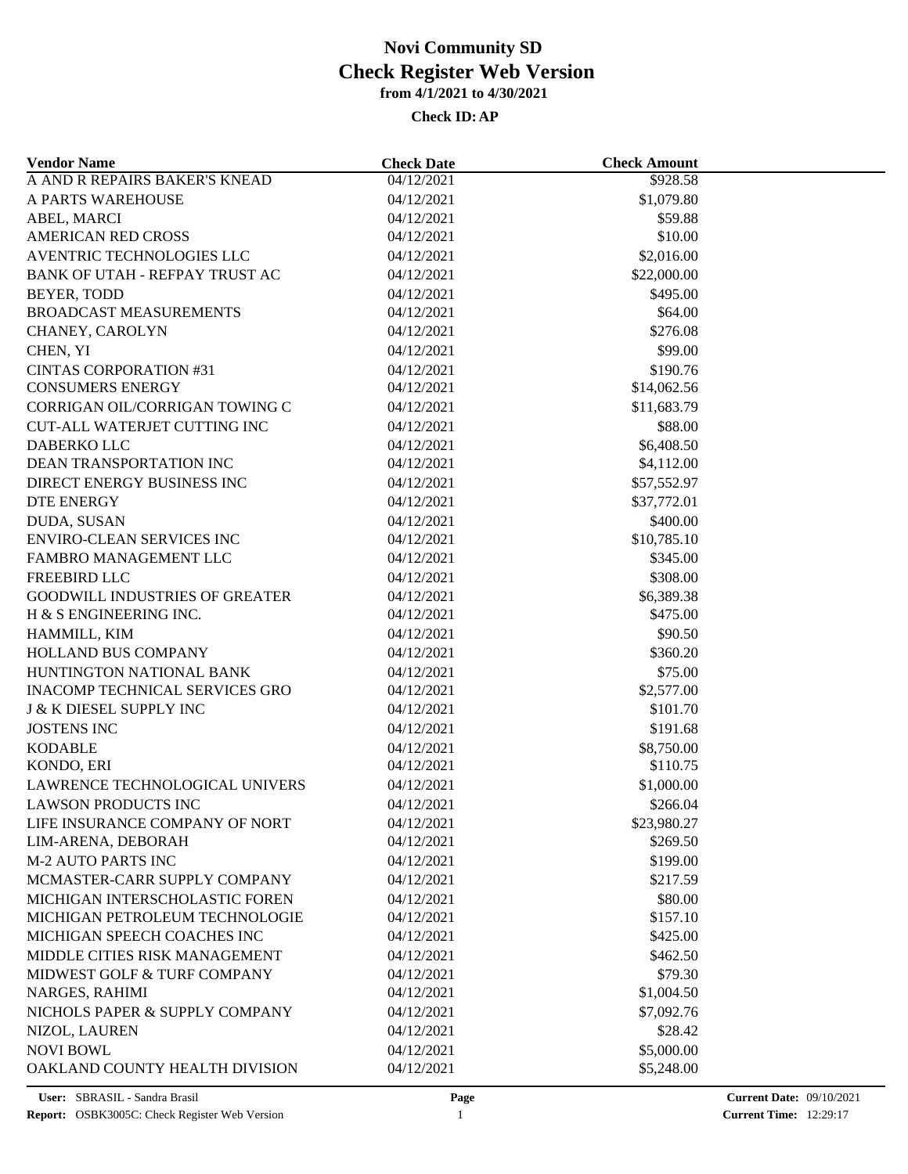| <b>Vendor Name</b>                              | <b>Check Date</b>     | <b>Check Amount</b> |  |
|-------------------------------------------------|-----------------------|---------------------|--|
| A AND R REPAIRS BAKER'S KNEAD                   | $\frac{04}{12}{2021}$ | \$928.58            |  |
| A PARTS WAREHOUSE                               | 04/12/2021            | \$1,079.80          |  |
| ABEL, MARCI                                     | 04/12/2021            | \$59.88             |  |
| <b>AMERICAN RED CROSS</b>                       | 04/12/2021            | \$10.00             |  |
| AVENTRIC TECHNOLOGIES LLC                       | 04/12/2021            | \$2,016.00          |  |
| BANK OF UTAH - REFPAY TRUST AC                  | 04/12/2021            | \$22,000.00         |  |
| <b>BEYER, TODD</b>                              | 04/12/2021            | \$495.00            |  |
| <b>BROADCAST MEASUREMENTS</b>                   | 04/12/2021            | \$64.00             |  |
| CHANEY, CAROLYN                                 | 04/12/2021            | \$276.08            |  |
| CHEN, YI                                        | 04/12/2021            | \$99.00             |  |
| <b>CINTAS CORPORATION #31</b>                   | 04/12/2021            | \$190.76            |  |
| <b>CONSUMERS ENERGY</b>                         | 04/12/2021            | \$14,062.56         |  |
| CORRIGAN OIL/CORRIGAN TOWING C                  | 04/12/2021            | \$11,683.79         |  |
| CUT-ALL WATERJET CUTTING INC                    | 04/12/2021            | \$88.00             |  |
| DABERKO LLC                                     | 04/12/2021            | \$6,408.50          |  |
| DEAN TRANSPORTATION INC                         | 04/12/2021            | \$4,112.00          |  |
| DIRECT ENERGY BUSINESS INC                      | 04/12/2021            | \$57,552.97         |  |
| <b>DTE ENERGY</b>                               | 04/12/2021            | \$37,772.01         |  |
|                                                 | 04/12/2021            | \$400.00            |  |
| DUDA, SUSAN<br><b>ENVIRO-CLEAN SERVICES INC</b> | 04/12/2021            | \$10,785.10         |  |
|                                                 | 04/12/2021            |                     |  |
| FAMBRO MANAGEMENT LLC                           |                       | \$345.00            |  |
| <b>FREEBIRD LLC</b>                             | 04/12/2021            | \$308.00            |  |
| <b>GOODWILL INDUSTRIES OF GREATER</b>           | 04/12/2021            | \$6,389.38          |  |
| H & S ENGINEERING INC.                          | 04/12/2021            | \$475.00            |  |
| HAMMILL, KIM                                    | 04/12/2021            | \$90.50             |  |
| HOLLAND BUS COMPANY                             | 04/12/2021            | \$360.20            |  |
| HUNTINGTON NATIONAL BANK                        | 04/12/2021            | \$75.00             |  |
| <b>INACOMP TECHNICAL SERVICES GRO</b>           | 04/12/2021            | \$2,577.00          |  |
| <b>J &amp; K DIESEL SUPPLY INC</b>              | 04/12/2021            | \$101.70            |  |
| <b>JOSTENS INC</b>                              | 04/12/2021            | \$191.68            |  |
| <b>KODABLE</b>                                  | 04/12/2021            | \$8,750.00          |  |
| KONDO, ERI                                      | 04/12/2021            | \$110.75            |  |
| LAWRENCE TECHNOLOGICAL UNIVERS                  | 04/12/2021            | \$1,000.00          |  |
| <b>LAWSON PRODUCTS INC</b>                      | 04/12/2021            | \$266.04            |  |
| LIFE INSURANCE COMPANY OF NORT                  | 04/12/2021            | \$23,980.27         |  |
| LIM-ARENA, DEBORAH                              | 04/12/2021            | \$269.50            |  |
| <b>M-2 AUTO PARTS INC</b>                       | 04/12/2021            | \$199.00            |  |
| MCMASTER-CARR SUPPLY COMPANY                    | 04/12/2021            | \$217.59            |  |
| MICHIGAN INTERSCHOLASTIC FOREN                  | 04/12/2021            | \$80.00             |  |
| MICHIGAN PETROLEUM TECHNOLOGIE                  | 04/12/2021            | \$157.10            |  |
| MICHIGAN SPEECH COACHES INC                     | 04/12/2021            | \$425.00            |  |
| MIDDLE CITIES RISK MANAGEMENT                   | 04/12/2021            | \$462.50            |  |
| MIDWEST GOLF & TURF COMPANY                     | 04/12/2021            | \$79.30             |  |
| NARGES, RAHIMI                                  | 04/12/2021            | \$1,004.50          |  |
| NICHOLS PAPER & SUPPLY COMPANY                  | 04/12/2021            | \$7,092.76          |  |
| NIZOL, LAUREN                                   | 04/12/2021            | \$28.42             |  |
| <b>NOVI BOWL</b>                                | 04/12/2021            | \$5,000.00          |  |
| OAKLAND COUNTY HEALTH DIVISION                  | 04/12/2021            | \$5,248.00          |  |
|                                                 |                       |                     |  |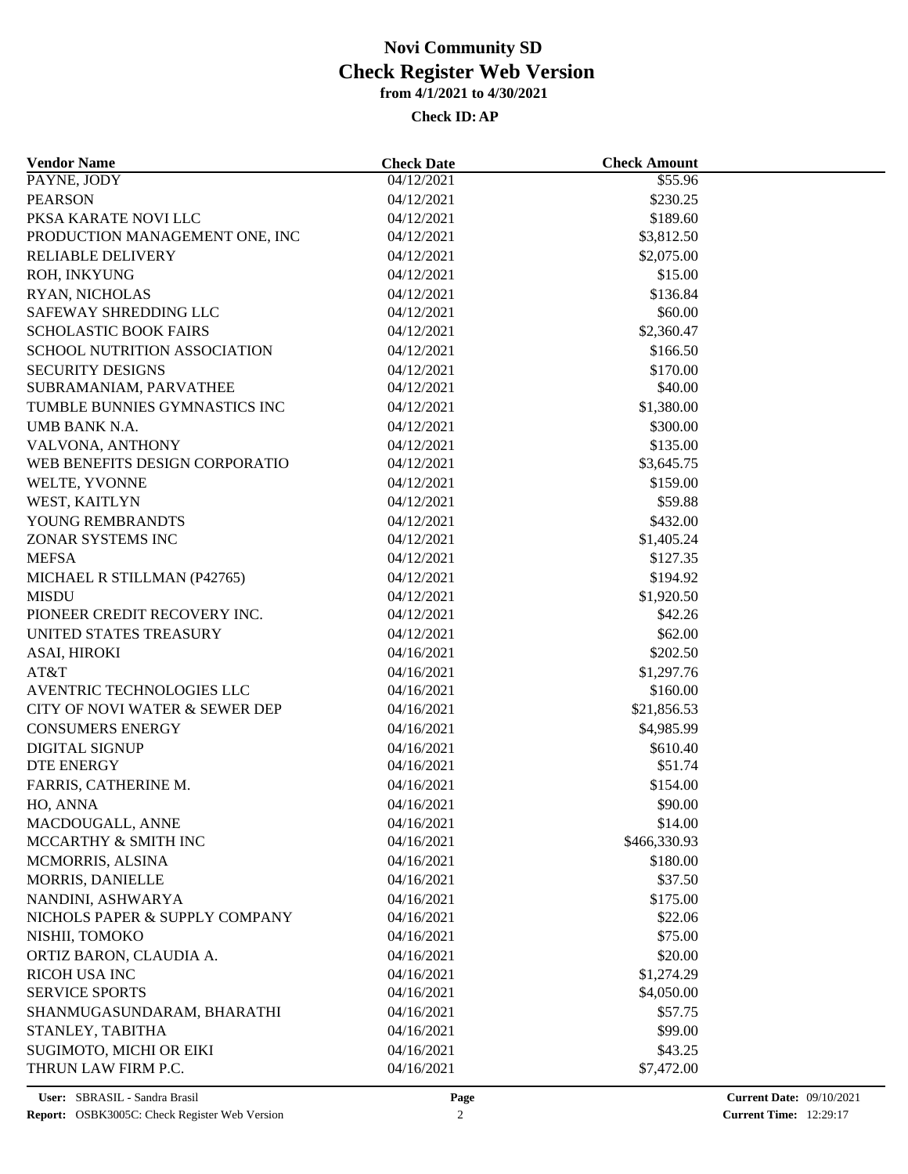| <b>Vendor Name</b>                  | <b>Check Date</b> | <b>Check Amount</b>   |  |
|-------------------------------------|-------------------|-----------------------|--|
| PAYNE, JODY                         | 04/12/2021        | \$55.96               |  |
| <b>PEARSON</b>                      | 04/12/2021        | \$230.25              |  |
| PKSA KARATE NOVI LLC                | 04/12/2021        | \$189.60              |  |
| PRODUCTION MANAGEMENT ONE, INC      | 04/12/2021        | \$3,812.50            |  |
| <b>RELIABLE DELIVERY</b>            | 04/12/2021        | \$2,075.00            |  |
| ROH, INKYUNG                        | 04/12/2021        | \$15.00               |  |
| RYAN, NICHOLAS                      | 04/12/2021        | \$136.84              |  |
| SAFEWAY SHREDDING LLC               | 04/12/2021        | \$60.00               |  |
| <b>SCHOLASTIC BOOK FAIRS</b>        | 04/12/2021        | \$2,360.47            |  |
| <b>SCHOOL NUTRITION ASSOCIATION</b> | 04/12/2021        | \$166.50              |  |
| <b>SECURITY DESIGNS</b>             | 04/12/2021        | \$170.00              |  |
| SUBRAMANIAM, PARVATHEE              | 04/12/2021        | \$40.00               |  |
| TUMBLE BUNNIES GYMNASTICS INC       | 04/12/2021        | \$1,380.00            |  |
| UMB BANK N.A.                       | 04/12/2021        | \$300.00              |  |
| VALVONA, ANTHONY                    | 04/12/2021        | \$135.00              |  |
| WEB BENEFITS DESIGN CORPORATIO      | 04/12/2021        | \$3,645.75            |  |
| WELTE, YVONNE                       | 04/12/2021        | \$159.00              |  |
| WEST, KAITLYN                       | 04/12/2021        | \$59.88               |  |
| YOUNG REMBRANDTS                    | 04/12/2021        | \$432.00              |  |
| ZONAR SYSTEMS INC                   | 04/12/2021        | \$1,405.24            |  |
| <b>MEFSA</b>                        | 04/12/2021        | \$127.35              |  |
| MICHAEL R STILLMAN (P42765)         | 04/12/2021        | \$194.92              |  |
| <b>MISDU</b>                        | 04/12/2021        |                       |  |
| PIONEER CREDIT RECOVERY INC.        | 04/12/2021        | \$1,920.50<br>\$42.26 |  |
| UNITED STATES TREASURY              |                   |                       |  |
|                                     | 04/12/2021        | \$62.00               |  |
| <b>ASAI, HIROKI</b>                 | 04/16/2021        | \$202.50              |  |
| AT&T                                | 04/16/2021        | \$1,297.76            |  |
| AVENTRIC TECHNOLOGIES LLC           | 04/16/2021        | \$160.00              |  |
| CITY OF NOVI WATER & SEWER DEP      | 04/16/2021        | \$21,856.53           |  |
| <b>CONSUMERS ENERGY</b>             | 04/16/2021        | \$4,985.99            |  |
| <b>DIGITAL SIGNUP</b>               | 04/16/2021        | \$610.40              |  |
| <b>DTE ENERGY</b>                   | 04/16/2021        | \$51.74               |  |
| FARRIS, CATHERINE M.                | 04/16/2021        | \$154.00              |  |
| HO, ANNA                            | 04/16/2021        | \$90.00               |  |
| MACDOUGALL, ANNE                    | 04/16/2021        | \$14.00               |  |
| MCCARTHY & SMITH INC                | 04/16/2021        | \$466,330.93          |  |
| MCMORRIS, ALSINA                    | 04/16/2021        | \$180.00              |  |
| MORRIS, DANIELLE                    | 04/16/2021        | \$37.50               |  |
| NANDINI, ASHWARYA                   | 04/16/2021        | \$175.00              |  |
| NICHOLS PAPER & SUPPLY COMPANY      | 04/16/2021        | \$22.06               |  |
| NISHII, TOMOKO                      | 04/16/2021        | \$75.00               |  |
| ORTIZ BARON, CLAUDIA A.             | 04/16/2021        | \$20.00               |  |
| RICOH USA INC                       | 04/16/2021        | \$1,274.29            |  |
| <b>SERVICE SPORTS</b>               | 04/16/2021        | \$4,050.00            |  |
| SHANMUGASUNDARAM, BHARATHI          | 04/16/2021        | \$57.75               |  |
| STANLEY, TABITHA                    | 04/16/2021        | \$99.00               |  |
| SUGIMOTO, MICHI OR EIKI             | 04/16/2021        | \$43.25               |  |
| THRUN LAW FIRM P.C.                 | 04/16/2021        | \$7,472.00            |  |
|                                     |                   |                       |  |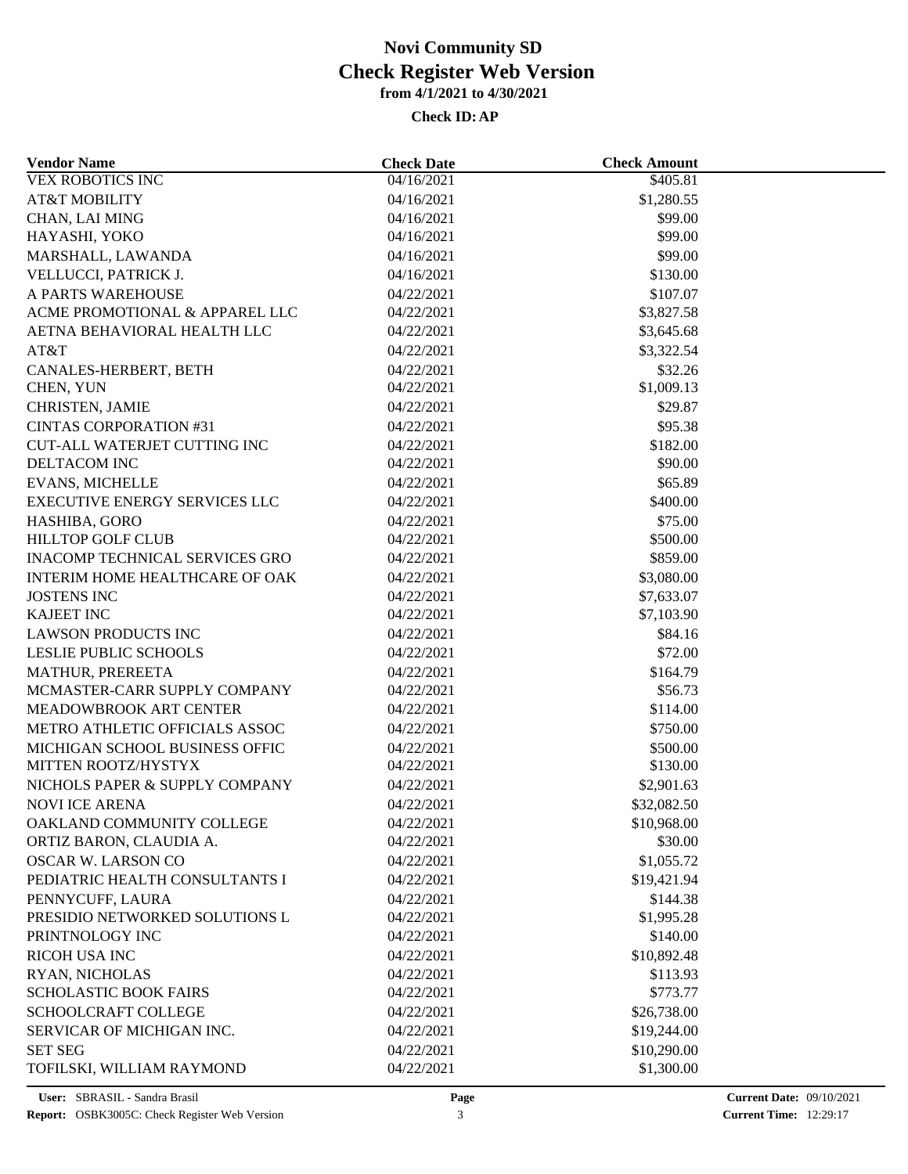| <b>Vendor Name</b>                    | <b>Check Date</b> | <b>Check Amount</b> |  |
|---------------------------------------|-------------------|---------------------|--|
| <b>VEX ROBOTICS INC</b>               | 04/16/2021        | \$405.81            |  |
| <b>AT&amp;T MOBILITY</b>              | 04/16/2021        | \$1,280.55          |  |
| CHAN, LAI MING                        | 04/16/2021        | \$99.00             |  |
| HAYASHI, YOKO                         | 04/16/2021        | \$99.00             |  |
| MARSHALL, LAWANDA                     | 04/16/2021        | \$99.00             |  |
| VELLUCCI, PATRICK J.                  | 04/16/2021        | \$130.00            |  |
| A PARTS WAREHOUSE                     | 04/22/2021        | \$107.07            |  |
| ACME PROMOTIONAL & APPAREL LLC        | 04/22/2021        | \$3,827.58          |  |
| AETNA BEHAVIORAL HEALTH LLC           | 04/22/2021        | \$3,645.68          |  |
| AT&T                                  | 04/22/2021        | \$3,322.54          |  |
| CANALES-HERBERT, BETH                 | 04/22/2021        | \$32.26             |  |
| CHEN, YUN                             | 04/22/2021        | \$1,009.13          |  |
| CHRISTEN, JAMIE                       | 04/22/2021        | \$29.87             |  |
| <b>CINTAS CORPORATION #31</b>         | 04/22/2021        | \$95.38             |  |
| <b>CUT-ALL WATERJET CUTTING INC</b>   | 04/22/2021        | \$182.00            |  |
| DELTACOM INC                          | 04/22/2021        | \$90.00             |  |
| <b>EVANS, MICHELLE</b>                | 04/22/2021        | \$65.89             |  |
| <b>EXECUTIVE ENERGY SERVICES LLC</b>  | 04/22/2021        | \$400.00            |  |
| HASHIBA, GORO                         | 04/22/2021        | \$75.00             |  |
| <b>HILLTOP GOLF CLUB</b>              | 04/22/2021        | \$500.00            |  |
| <b>INACOMP TECHNICAL SERVICES GRO</b> | 04/22/2021        | \$859.00            |  |
| INTERIM HOME HEALTHCARE OF OAK        | 04/22/2021        | \$3,080.00          |  |
| <b>JOSTENS INC</b>                    | 04/22/2021        | \$7,633.07          |  |
| <b>KAJEET INC</b>                     | 04/22/2021        | \$7,103.90          |  |
| <b>LAWSON PRODUCTS INC</b>            | 04/22/2021        | \$84.16             |  |
| LESLIE PUBLIC SCHOOLS                 | 04/22/2021        | \$72.00             |  |
| MATHUR, PREREETA                      | 04/22/2021        | \$164.79            |  |
| MCMASTER-CARR SUPPLY COMPANY          | 04/22/2021        | \$56.73             |  |
| MEADOWBROOK ART CENTER                | 04/22/2021        | \$114.00            |  |
| METRO ATHLETIC OFFICIALS ASSOC        | 04/22/2021        | \$750.00            |  |
| MICHIGAN SCHOOL BUSINESS OFFIC        | 04/22/2021        | \$500.00            |  |
| MITTEN ROOTZ/HYSTYX                   | 04/22/2021        | \$130.00            |  |
| NICHOLS PAPER & SUPPLY COMPANY        | 04/22/2021        | \$2,901.63          |  |
| <b>NOVI ICE ARENA</b>                 | 04/22/2021        | \$32,082.50         |  |
| OAKLAND COMMUNITY COLLEGE             | 04/22/2021        | \$10,968.00         |  |
| ORTIZ BARON, CLAUDIA A.               | 04/22/2021        | \$30.00             |  |
| OSCAR W. LARSON CO                    | 04/22/2021        | \$1,055.72          |  |
| PEDIATRIC HEALTH CONSULTANTS I        |                   |                     |  |
|                                       | 04/22/2021        | \$19,421.94         |  |
| PENNYCUFF, LAURA                      | 04/22/2021        | \$144.38            |  |
| PRESIDIO NETWORKED SOLUTIONS L        | 04/22/2021        | \$1,995.28          |  |
| PRINTNOLOGY INC                       | 04/22/2021        | \$140.00            |  |
| RICOH USA INC                         | 04/22/2021        | \$10,892.48         |  |
| RYAN, NICHOLAS                        | 04/22/2021        | \$113.93            |  |
| <b>SCHOLASTIC BOOK FAIRS</b>          | 04/22/2021        | \$773.77            |  |
| <b>SCHOOLCRAFT COLLEGE</b>            | 04/22/2021        | \$26,738.00         |  |
| SERVICAR OF MICHIGAN INC.             | 04/22/2021        | \$19,244.00         |  |
| <b>SET SEG</b>                        | 04/22/2021        | \$10,290.00         |  |
| TOFILSKI, WILLIAM RAYMOND             | 04/22/2021        | \$1,300.00          |  |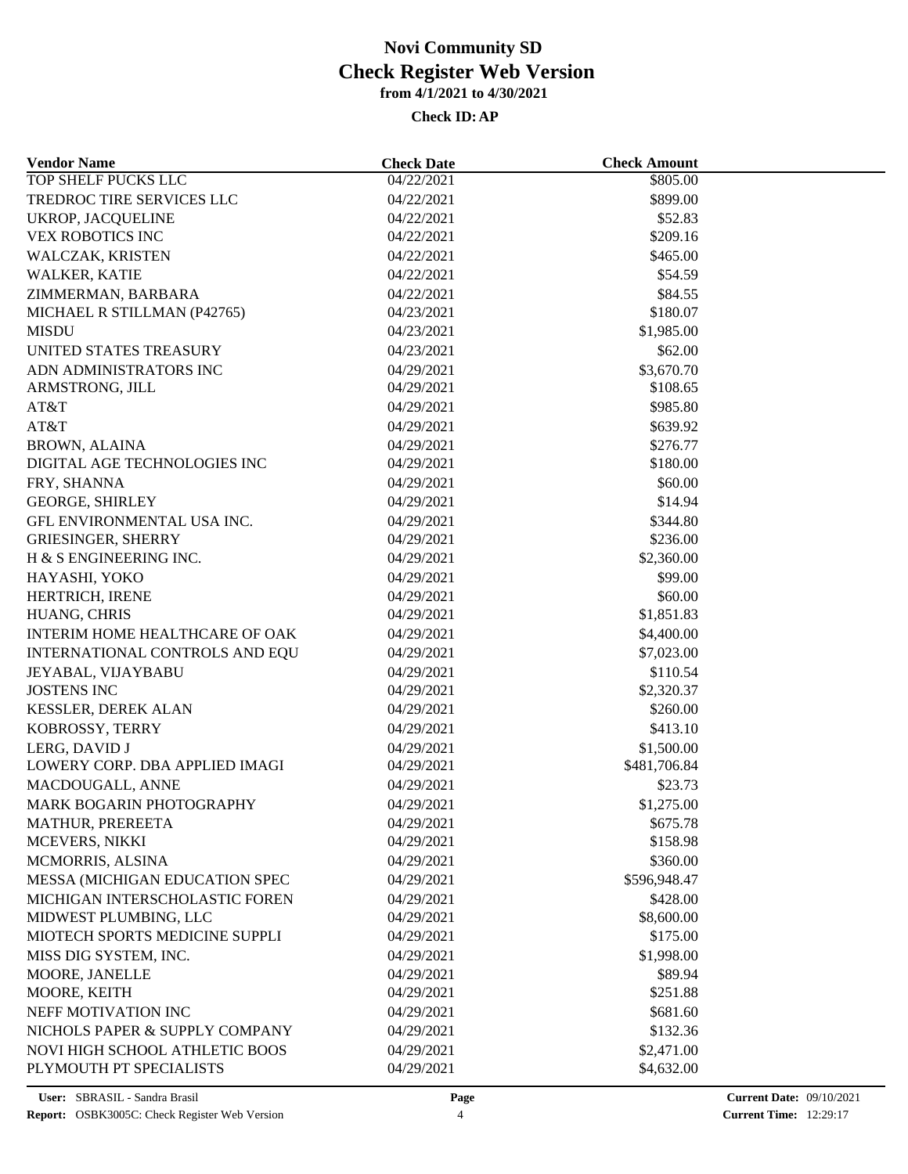| <b>Vendor Name</b>                    | <b>Check Date</b> | <b>Check Amount</b> |  |
|---------------------------------------|-------------------|---------------------|--|
| <b>TOP SHELF PUCKS LLC</b>            | 04/22/2021        | \$805.00            |  |
| TREDROC TIRE SERVICES LLC             | 04/22/2021        | \$899.00            |  |
| UKROP, JACQUELINE                     | 04/22/2021        | \$52.83             |  |
| VEX ROBOTICS INC                      | 04/22/2021        | \$209.16            |  |
| WALCZAK, KRISTEN                      | 04/22/2021        | \$465.00            |  |
| WALKER, KATIE                         | 04/22/2021        | \$54.59             |  |
| ZIMMERMAN, BARBARA                    | 04/22/2021        | \$84.55             |  |
| MICHAEL R STILLMAN (P42765)           | 04/23/2021        | \$180.07            |  |
| <b>MISDU</b>                          | 04/23/2021        | \$1,985.00          |  |
| UNITED STATES TREASURY                | 04/23/2021        | \$62.00             |  |
| ADN ADMINISTRATORS INC                | 04/29/2021        | \$3,670.70          |  |
| ARMSTRONG, JILL                       | 04/29/2021        | \$108.65            |  |
| AT&T                                  | 04/29/2021        | \$985.80            |  |
| AT&T                                  | 04/29/2021        | \$639.92            |  |
| <b>BROWN, ALAINA</b>                  | 04/29/2021        | \$276.77            |  |
| DIGITAL AGE TECHNOLOGIES INC          | 04/29/2021        | \$180.00            |  |
| FRY, SHANNA                           | 04/29/2021        | \$60.00             |  |
| <b>GEORGE, SHIRLEY</b>                | 04/29/2021        | \$14.94             |  |
| GFL ENVIRONMENTAL USA INC.            | 04/29/2021        | \$344.80            |  |
| <b>GRIESINGER, SHERRY</b>             | 04/29/2021        | \$236.00            |  |
| H & S ENGINEERING INC.                | 04/29/2021        | \$2,360.00          |  |
| HAYASHI, YOKO                         | 04/29/2021        | \$99.00             |  |
| HERTRICH, IRENE                       | 04/29/2021        | \$60.00             |  |
| HUANG, CHRIS                          | 04/29/2021        | \$1,851.83          |  |
| <b>INTERIM HOME HEALTHCARE OF OAK</b> | 04/29/2021        | \$4,400.00          |  |
|                                       |                   |                     |  |
| INTERNATIONAL CONTROLS AND EQU        | 04/29/2021        | \$7,023.00          |  |
| JEYABAL, VIJAYBABU                    | 04/29/2021        | \$110.54            |  |
| <b>JOSTENS INC</b>                    | 04/29/2021        | \$2,320.37          |  |
| KESSLER, DEREK ALAN                   | 04/29/2021        | \$260.00            |  |
| KOBROSSY, TERRY                       | 04/29/2021        | \$413.10            |  |
| LERG, DAVID J                         | 04/29/2021        | \$1,500.00          |  |
| LOWERY CORP. DBA APPLIED IMAGI        | 04/29/2021        | \$481,706.84        |  |
| MACDOUGALL, ANNE                      | 04/29/2021        | \$23.73             |  |
| MARK BOGARIN PHOTOGRAPHY              | 04/29/2021        | \$1,275.00          |  |
| MATHUR, PREREETA                      | 04/29/2021        | \$675.78            |  |
| MCEVERS, NIKKI                        | 04/29/2021        | \$158.98            |  |
| MCMORRIS, ALSINA                      | 04/29/2021        | \$360.00            |  |
| MESSA (MICHIGAN EDUCATION SPEC        | 04/29/2021        | \$596,948.47        |  |
| MICHIGAN INTERSCHOLASTIC FOREN        | 04/29/2021        | \$428.00            |  |
| MIDWEST PLUMBING, LLC                 | 04/29/2021        | \$8,600.00          |  |
| MIOTECH SPORTS MEDICINE SUPPLI        | 04/29/2021        | \$175.00            |  |
| MISS DIG SYSTEM, INC.                 | 04/29/2021        | \$1,998.00          |  |
| MOORE, JANELLE                        | 04/29/2021        | \$89.94             |  |
| MOORE, KEITH                          | 04/29/2021        | \$251.88            |  |
| NEFF MOTIVATION INC                   | 04/29/2021        | \$681.60            |  |
| NICHOLS PAPER & SUPPLY COMPANY        | 04/29/2021        | \$132.36            |  |
| NOVI HIGH SCHOOL ATHLETIC BOOS        | 04/29/2021        | \$2,471.00          |  |
| PLYMOUTH PT SPECIALISTS               | 04/29/2021        | \$4,632.00          |  |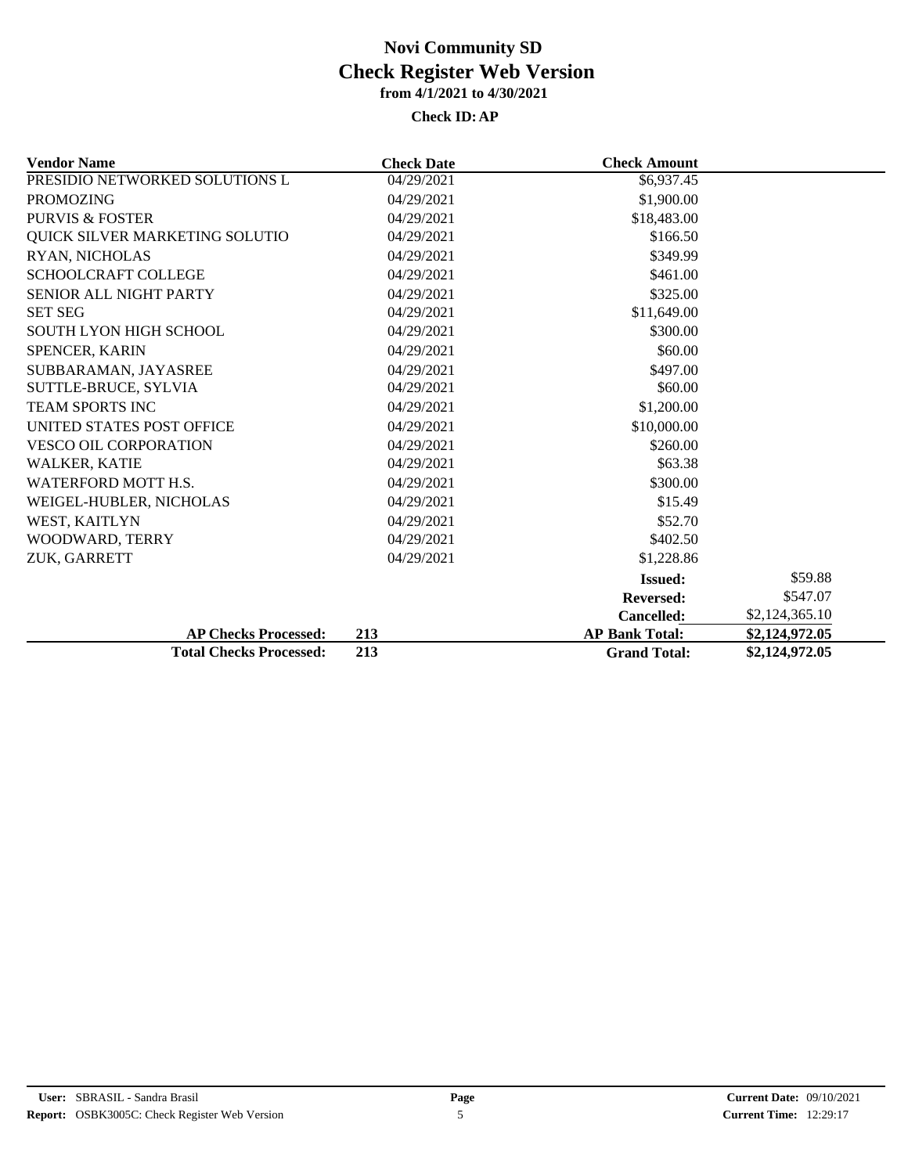| <b>Vendor Name</b>                    | <b>Check Date</b> | <b>Check Amount</b>   |                |
|---------------------------------------|-------------------|-----------------------|----------------|
| PRESIDIO NETWORKED SOLUTIONS L        | 04/29/2021        | \$6,937.45            |                |
| <b>PROMOZING</b>                      | 04/29/2021        | \$1,900.00            |                |
| <b>PURVIS &amp; FOSTER</b>            | 04/29/2021        | \$18,483.00           |                |
| <b>QUICK SILVER MARKETING SOLUTIO</b> | 04/29/2021        | \$166.50              |                |
| RYAN, NICHOLAS                        | 04/29/2021        | \$349.99              |                |
| <b>SCHOOLCRAFT COLLEGE</b>            | 04/29/2021        | \$461.00              |                |
| <b>SENIOR ALL NIGHT PARTY</b>         | 04/29/2021        | \$325.00              |                |
| <b>SET SEG</b>                        | 04/29/2021        | \$11,649.00           |                |
| <b>SOUTH LYON HIGH SCHOOL</b>         | 04/29/2021        | \$300.00              |                |
| <b>SPENCER, KARIN</b>                 | 04/29/2021        | \$60.00               |                |
| SUBBARAMAN, JAYASREE                  | 04/29/2021        | \$497.00              |                |
| SUTTLE-BRUCE, SYLVIA                  | 04/29/2021        | \$60.00               |                |
| <b>TEAM SPORTS INC</b>                | 04/29/2021        | \$1,200.00            |                |
| UNITED STATES POST OFFICE             | 04/29/2021        | \$10,000.00           |                |
| <b>VESCO OIL CORPORATION</b>          | 04/29/2021        | \$260.00              |                |
| <b>WALKER, KATIE</b>                  | 04/29/2021        | \$63.38               |                |
| WATERFORD MOTT H.S.                   | 04/29/2021        | \$300.00              |                |
| WEIGEL-HUBLER, NICHOLAS               | 04/29/2021        | \$15.49               |                |
| WEST, KAITLYN                         | 04/29/2021        | \$52.70               |                |
| WOODWARD, TERRY                       | 04/29/2021        | \$402.50              |                |
| ZUK, GARRETT                          | 04/29/2021        | \$1,228.86            |                |
|                                       |                   | <b>Issued:</b>        | \$59.88        |
|                                       |                   | <b>Reversed:</b>      | \$547.07       |
|                                       |                   | Cancelled:            | \$2,124,365.10 |
| <b>AP Checks Processed:</b>           | 213               | <b>AP Bank Total:</b> | \$2,124,972.05 |
| <b>Total Checks Processed:</b>        | 213               | <b>Grand Total:</b>   | \$2,124,972.05 |